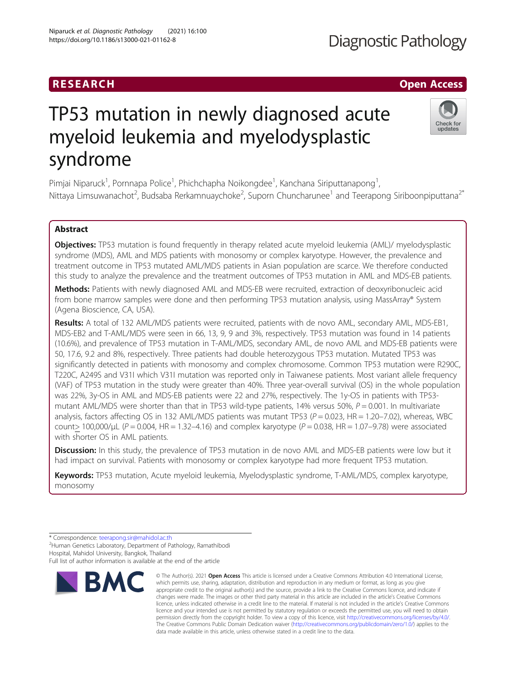# RESEARCH **RESEARCH CHANNEL CONTROL**

# TP53 mutation in newly diagnosed acute myeloid leukemia and myelodysplastic syndrome

Pimjai Niparuck<sup>1</sup>, Pornnapa Police<sup>1</sup>, Phichchapha Noikongdee<sup>1</sup>, Kanchana Siriputtanapong<sup>1</sup> , Nittaya Limsuwanachot<sup>2</sup>, Budsaba Rerkamnuaychoke<sup>2</sup>, Suporn Chuncharunee<sup>1</sup> and Teerapong Siriboonpiputtana<sup>2\*</sup>

## Abstract

Objectives: TP53 mutation is found frequently in therapy related acute myeloid leukemia (AML)/ myelodysplastic syndrome (MDS), AML and MDS patients with monosomy or complex karyotype. However, the prevalence and treatment outcome in TP53 mutated AML/MDS patients in Asian population are scarce. We therefore conducted this study to analyze the prevalence and the treatment outcomes of TP53 mutation in AML and MDS-EB patients.

Methods: Patients with newly diagnosed AML and MDS-EB were recruited, extraction of deoxyribonucleic acid from bone marrow samples were done and then performing TP53 mutation analysis, using MassArray® System (Agena Bioscience, CA, USA).

Results: A total of 132 AML/MDS patients were recruited, patients with de novo AML, secondary AML, MDS-EB1, MDS-EB2 and T-AML/MDS were seen in 66, 13, 9, 9 and 3%, respectively. TP53 mutation was found in 14 patients (10.6%), and prevalence of TP53 mutation in T-AML/MDS, secondary AML, de novo AML and MDS-EB patients were 50, 17.6, 9.2 and 8%, respectively. Three patients had double heterozygous TP53 mutation. Mutated TP53 was significantly detected in patients with monosomy and complex chromosome. Common TP53 mutation were R290C, T220C, A249S and V31I which V31I mutation was reported only in Taiwanese patients. Most variant allele frequency (VAF) of TP53 mutation in the study were greater than 40%. Three year-overall survival (OS) in the whole population was 22%, 3y-OS in AML and MDS-EB patients were 22 and 27%, respectively. The 1y-OS in patients with TP53 mutant AML/MDS were shorter than that in TP53 wild-type patients, 14% versus 50%,  $P = 0.001$ . In multivariate analysis, factors affecting OS in 132 AML/MDS patients was mutant TP53 ( $P = 0.023$ , HR = 1.20–7.02), whereas, WBC count > 100,000/µL ( $P = 0.004$ , HR = 1.32-4.16) and complex karyotype ( $P = 0.038$ , HR = 1.07-9.78) were associated with shorter OS in AML patients.

**Discussion:** In this study, the prevalence of TP53 mutation in de novo AML and MDS-EB patients were low but it had impact on survival. Patients with monosomy or complex karyotype had more frequent TP53 mutation.

Keywords: TP53 mutation, Acute myeloid leukemia, Myelodysplastic syndrome, T-AML/MDS, complex karyotype, monosomy

data made available in this article, unless otherwise stated in a credit line to the data.

© The Author(s), 2021 **Open Access** This article is licensed under a Creative Commons Attribution 4.0 International License, which permits use, sharing, adaptation, distribution and reproduction in any medium or format, as long as you give

**BMC** 

<sup>2</sup>Human Genetics Laboratory, Department of Pathology, Ramathibodi Hospital, Mahidol University, Bangkok, Thailand

Full list of author information is available at the end of the article





<sup>\*</sup> Correspondence: [teerapong.sir@mahidol.ac.th](mailto:teerapong.sir@mahidol.ac.th) <sup>2</sup>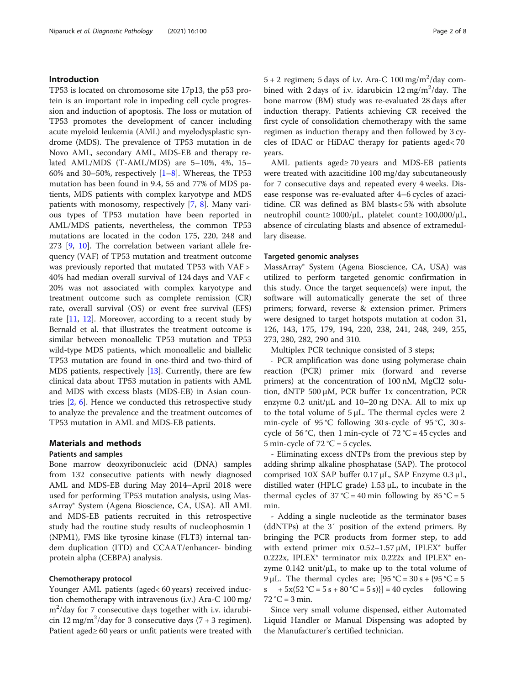#### Introduction

TP53 is located on chromosome site 17p13, the p53 protein is an important role in impeding cell cycle progression and induction of apoptosis. The loss or mutation of TP53 promotes the development of cancer including acute myeloid leukemia (AML) and myelodysplastic syndrome (MDS). The prevalence of TP53 mutation in de Novo AML, secondary AML, MDS-EB and therapy related AML/MDS (T-AML/MDS) are 5–10%, 4%, 15– 60% and 30–50%, respectively  $[1-8]$  $[1-8]$  $[1-8]$  $[1-8]$ . Whereas, the TP53 mutation has been found in 9.4, 55 and 77% of MDS patients, MDS patients with complex karyotype and MDS patients with monosomy, respectively [[7,](#page-7-0) [8\]](#page-7-0). Many various types of TP53 mutation have been reported in AML/MDS patients, nevertheless, the common TP53 mutations are located in the codon 175, 220, 248 and 273 [\[9,](#page-7-0) [10](#page-7-0)]. The correlation between variant allele frequency (VAF) of TP53 mutation and treatment outcome was previously reported that mutated TP53 with VAF > 40% had median overall survival of 124 days and VAF < 20% was not associated with complex karyotype and treatment outcome such as complete remission (CR) rate, overall survival (OS) or event free survival (EFS) rate  $[11, 12]$  $[11, 12]$  $[11, 12]$  $[11, 12]$  $[11, 12]$ . Moreover, according to a recent study by Bernald et al. that illustrates the treatment outcome is similar between monoallelic TP53 mutation and TP53 wild-type MDS patients, which monoallelic and biallelic TP53 mutation are found in one-third and two-third of MDS patients, respectively [[13\]](#page-7-0). Currently, there are few clinical data about TP53 mutation in patients with AML and MDS with excess blasts (MDS-EB) in Asian countries [[2,](#page-7-0) [6](#page-7-0)]. Hence we conducted this retrospective study to analyze the prevalence and the treatment outcomes of TP53 mutation in AML and MDS-EB patients.

### Materials and methods

#### Patients and samples

Bone marrow deoxyribonucleic acid (DNA) samples from 132 consecutive patients with newly diagnosed AML and MDS-EB during May 2014–April 2018 were used for performing TP53 mutation analysis, using MassArray® System (Agena Bioscience, CA, USA). All AML and MDS-EB patients recruited in this retrospective study had the routine study results of nucleophosmin 1 (NPM1), FMS like tyrosine kinase (FLT3) internal tandem duplication (ITD) and CCAAT/enhancer- binding protein alpha (CEBPA) analysis.

#### Chemotherapy protocol

Younger AML patients (aged< 60 years) received induction chemotherapy with intravenous (i.v.) Ara-C 100 mg/ m2 /day for 7 consecutive days together with i.v. idarubicin 12 mg/m<sup>2</sup>/day for 3 consecutive days  $(7 + 3$  regimen). Patient aged≥ 60 years or unfit patients were treated with

 $5 + 2$  regimen; 5 days of i.v. Ara-C 100 mg/m<sup>2</sup>/day combined with 2 days of i.v. idarubicin  $12 \text{ mg/m}^2/\text{day}$ . The bone marrow (BM) study was re-evaluated 28 days after induction therapy. Patients achieving CR received the first cycle of consolidation chemotherapy with the same regimen as induction therapy and then followed by 3 cycles of IDAC or HiDAC therapy for patients aged< 70 years.

AML patients aged≥ 70 years and MDS-EB patients were treated with azacitidine 100 mg/day subcutaneously for 7 consecutive days and repeated every 4 weeks. Disease response was re-evaluated after 4–6 cycles of azacitidine. CR was defined as BM blasts< 5% with absolute neutrophil count≥ 1000/μL, platelet count≥ 100,000/μL, absence of circulating blasts and absence of extramedullary disease.

#### Targeted genomic analyses

MassArray® System (Agena Bioscience, CA, USA) was utilized to perform targeted genomic confirmation in this study. Once the target sequence(s) were input, the software will automatically generate the set of three primers; forward, reverse & extension primer. Primers were designed to target hotspots mutation at codon 31, 126, 143, 175, 179, 194, 220, 238, 241, 248, 249, 255, 273, 280, 282, 290 and 310.

Multiplex PCR technique consisted of 3 steps;

- PCR amplification was done using polymerase chain reaction (PCR) primer mix (forward and reverse primers) at the concentration of 100 nM, MgCl2 solution, dNTP 500 μM, PCR buffer 1x concentration, PCR enzyme 0.2 unit/ $\mu$ L and 10–20 ng DNA. All to mix up to the total volume of  $5 \mu L$ . The thermal cycles were 2 min-cycle of 95 °C following 30 s-cycle of 95 °C, 30 scycle of 56 °C, then 1 min-cycle of  $72$  °C = 45 cycles and 5 min-cycle of 72  $°C = 5$  cycles.

- Eliminating excess dNTPs from the previous step by adding shrimp alkaline phosphatase (SAP). The protocol comprised 10X SAP buffer 0.17 μL, SAP Enzyme 0.3 μL, distilled water (HPLC grade) 1.53 μL, to incubate in the thermal cycles of  $37^{\circ}C = 40$  min following by  $85^{\circ}C = 5$ min.

- Adding a single nucleotide as the terminator bases (ddNTPs) at the 3′ position of the extend primers. By bringing the PCR products from former step, to add with extend primer mix  $0.52-1.57 \mu M$ , IPLEX<sup>®</sup> buffer 0.222x, IPLEX® terminator mix 0.222x and IPLEX® enzyme  $0.142$  unit/ $\mu$ L, to make up to the total volume of 9 μL. The thermal cycles are;  $[95 °C = 30 s + {95 °C = 5}$ s  $+5x(52 °C = 5 s + 80 °C = 5 s)] = 40 cycles$  following  $72 °C = 3 min.$ 

Since very small volume dispensed, either Automated Liquid Handler or Manual Dispensing was adopted by the Manufacturer's certified technician.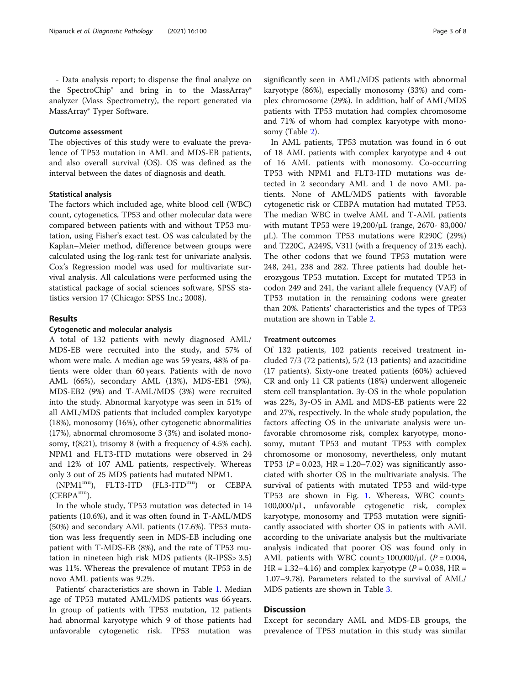- Data analysis report; to dispense the final analyze on the SpectroChip® and bring in to the MassArray® analyzer (Mass Spectrometry), the report generated via MassArray® Typer Software.

#### Outcome assessment

The objectives of this study were to evaluate the prevalence of TP53 mutation in AML and MDS-EB patients, and also overall survival (OS). OS was defined as the interval between the dates of diagnosis and death.

#### Statistical analysis

The factors which included age, white blood cell (WBC) count, cytogenetics, TP53 and other molecular data were compared between patients with and without TP53 mutation, using Fisher's exact test. OS was calculated by the Kaplan–Meier method, difference between groups were calculated using the log-rank test for univariate analysis. Cox's Regression model was used for multivariate survival analysis. All calculations were performed using the statistical package of social sciences software, SPSS statistics version 17 (Chicago: SPSS Inc.; 2008).

#### Results

#### Cytogenetic and molecular analysis

A total of 132 patients with newly diagnosed AML/ MDS-EB were recruited into the study, and 57% of whom were male. A median age was 59 years, 48% of patients were older than 60 years. Patients with de novo AML (66%), secondary AML (13%), MDS-EB1 (9%), MDS-EB2 (9%) and T-AML/MDS (3%) were recruited into the study. Abnormal karyotype was seen in 51% of all AML/MDS patients that included complex karyotype (18%), monosomy (16%), other cytogenetic abnormalities (17%), abnormal chromosome 3 (3%) and isolated monosomy, t(8;21), trisomy 8 (with a frequency of 4.5% each). NPM1 and FLT3-ITD mutations were observed in 24 and 12% of 107 AML patients, respectively. Whereas only 3 out of 25 MDS patients had mutated NPM1.

(NPM1mu), FLT3-ITD (FL3-ITDmu) or CEBPA  $(CEBPA<sup>mu</sup>).$ 

In the whole study, TP53 mutation was detected in 14 patients (10.6%), and it was often found in T-AML/MDS (50%) and secondary AML patients (17.6%). TP53 mutation was less frequently seen in MDS-EB including one patient with T-MDS-EB (8%), and the rate of TP53 mutation in nineteen high risk MDS patients (R-IPSS> 3.5) was 11%. Whereas the prevalence of mutant TP53 in de novo AML patients was 9.2%.

Patients' characteristics are shown in Table [1.](#page-3-0) Median age of TP53 mutated AML/MDS patients was 66 years. In group of patients with TP53 mutation, 12 patients had abnormal karyotype which 9 of those patients had unfavorable cytogenetic risk. TP53 mutation was significantly seen in AML/MDS patients with abnormal karyotype (86%), especially monosomy (33%) and complex chromosome (29%). In addition, half of AML/MDS patients with TP53 mutation had complex chromosome and 71% of whom had complex karyotype with monosomy (Table [2](#page-4-0)).

In AML patients, TP53 mutation was found in 6 out of 18 AML patients with complex karyotype and 4 out of 16 AML patients with monosomy. Co-occurring TP53 with NPM1 and FLT3-ITD mutations was detected in 2 secondary AML and 1 de novo AML patients. None of AML/MDS patients with favorable cytogenetic risk or CEBPA mutation had mutated TP53. The median WBC in twelve AML and T-AML patients with mutant TP53 were 19,200/μL (range, 2670- 83,000/ μL). The common TP53 mutations were R290C (29%) and T220C, A249S, V31I (with a frequency of 21% each). The other codons that we found TP53 mutation were 248, 241, 238 and 282. Three patients had double heterozygous TP53 mutation. Except for mutated TP53 in codon 249 and 241, the variant allele frequency (VAF) of TP53 mutation in the remaining codons were greater than 20%. Patients' characteristics and the types of TP53 mutation are shown in Table [2.](#page-4-0)

#### Treatment outcomes

Of 132 patients, 102 patients received treatment included 7/3 (72 patients), 5/2 (13 patients) and azacitidine (17 patients). Sixty-one treated patients (60%) achieved CR and only 11 CR patients (18%) underwent allogeneic stem cell transplantation. 3y-OS in the whole population was 22%, 3y-OS in AML and MDS-EB patients were 22 and 27%, respectively. In the whole study population, the factors affecting OS in the univariate analysis were unfavorable chromosome risk, complex karyotype, monosomy, mutant TP53 and mutant TP53 with complex chromosome or monosomy, nevertheless, only mutant TP53 ( $P = 0.023$ , HR = 1.20–7.02) was significantly associated with shorter OS in the multivariate analysis. The survival of patients with mutated TP53 and wild-type TP53 are shown in Fig. [1.](#page-5-0) Whereas, WBC count> 100,000/μL, unfavorable cytogenetic risk, complex karyotype, monosomy and TP53 mutation were significantly associated with shorter OS in patients with AML according to the univariate analysis but the multivariate analysis indicated that poorer OS was found only in AML patients with WBC count>  $100,000/\mu L$  (P = 0.004,  $HR = 1.32 - 4.16$ ) and complex karyotype ( $P = 0.038$ ,  $HR =$ 1.07–9.78). Parameters related to the survival of AML/ MDS patients are shown in Table [3.](#page-6-0)

#### **Discussion**

Except for secondary AML and MDS-EB groups, the prevalence of TP53 mutation in this study was similar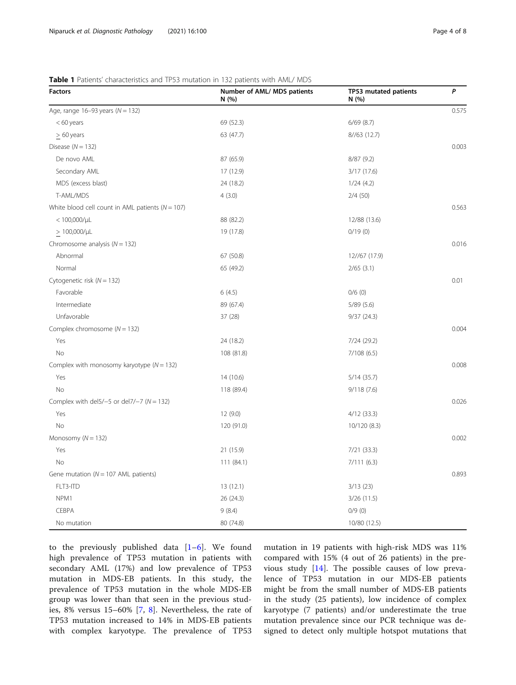| <b>Factors</b>                                       | Number of AML/ MDS patients<br>N (%) | TP53 mutated patients<br>N (%) | P     |
|------------------------------------------------------|--------------------------------------|--------------------------------|-------|
| Age, range $16-93$ years ( $N = 132$ )               |                                      |                                | 0.575 |
| $< 60$ years                                         | 69 (52.3)                            | 6/69(8.7)                      |       |
| $\geq 60$ years                                      | 63 (47.7)                            | 8//63(12.7)                    |       |
| Disease ( $N = 132$ )                                |                                      |                                | 0.003 |
| De novo AML                                          | 87 (65.9)                            | 8/87(9.2)                      |       |
| Secondary AML                                        | 17 (12.9)                            | 3/17 (17.6)                    |       |
| MDS (excess blast)                                   | 24 (18.2)                            | 1/24(4.2)                      |       |
| T-AML/MDS                                            | 4(3.0)                               | 2/4(50)                        |       |
| White blood cell count in AML patients ( $N = 107$ ) |                                      |                                | 0.563 |
| $< 100,000/\mu L$                                    | 88 (82.2)                            | 12/88 (13.6)                   |       |
| $> 100,000/\mu L$                                    | 19 (17.8)                            | 0/19(0)                        |       |
| Chromosome analysis ( $N = 132$ )                    |                                      |                                | 0.016 |
| Abnormal                                             | 67 (50.8)                            | 12//67 (17.9)                  |       |
| Normal                                               | 65 (49.2)                            | $2/65$ (3.1)                   |       |
| Cytogenetic risk ( $N = 132$ )                       |                                      |                                | 0.01  |
| Favorable                                            | 6(4.5)                               | 0/6(0)                         |       |
| Intermediate                                         | 89 (67.4)                            | 5/89(5.6)                      |       |
| Unfavorable                                          | 37 (28)                              | 9/37(24.3)                     |       |
| Complex chromosome ( $N = 132$ )                     |                                      |                                | 0.004 |
| Yes                                                  | 24 (18.2)                            | 7/24 (29.2)                    |       |
| No                                                   | 108 (81.8)                           | 7/108(6.5)                     |       |
| Complex with monosomy karyotype ( $N = 132$ )        |                                      |                                | 0.008 |
| Yes                                                  | 14(10.6)                             | 5/14(35.7)                     |       |
| No                                                   | 118 (89.4)                           | 9/118(7.6)                     |       |
| Complex with del5/-5 or del7/-7 ( $N = 132$ )        |                                      |                                | 0.026 |
| Yes                                                  | 12(9.0)                              | 4/12 (33.3)                    |       |
| <b>No</b>                                            | 120 (91.0)                           | 10/120 (8.3)                   |       |
| Monosomy ( $N = 132$ )                               |                                      |                                | 0.002 |
| Yes                                                  | 21 (15.9)                            | 7/21 (33.3)                    |       |
| No                                                   | 111 (84.1)                           | 7/111(6.3)                     |       |
| Gene mutation ( $N = 107$ AML patients)              |                                      |                                | 0.893 |
| FLT3-ITD                                             | 13(12.1)                             | 3/13(23)                       |       |
| NPM1                                                 | 26 (24.3)                            | 3/26(11.5)                     |       |
| CEBPA                                                | 9(8.4)                               | 0/9(0)                         |       |
| No mutation                                          | 80 (74.8)                            | 10/80 (12.5)                   |       |

<span id="page-3-0"></span>Table 1 Patients' characteristics and TP53 mutation in 132 patients with AML/ MDS

to the previously published data [\[1](#page-7-0)–[6](#page-7-0)]. We found high prevalence of TP53 mutation in patients with secondary AML (17%) and low prevalence of TP53 mutation in MDS-EB patients. In this study, the prevalence of TP53 mutation in the whole MDS-EB group was lower than that seen in the previous studies, 8% versus 15–60% [\[7](#page-7-0), [8](#page-7-0)]. Nevertheless, the rate of TP53 mutation increased to 14% in MDS-EB patients with complex karyotype. The prevalence of TP53

mutation in 19 patients with high-risk MDS was 11% compared with 15% (4 out of 26 patients) in the previous study [\[14](#page-7-0)]. The possible causes of low prevalence of TP53 mutation in our MDS-EB patients might be from the small number of MDS-EB patients in the study (25 patients), low incidence of complex karyotype (7 patients) and/or underestimate the true mutation prevalence since our PCR technique was designed to detect only multiple hotspot mutations that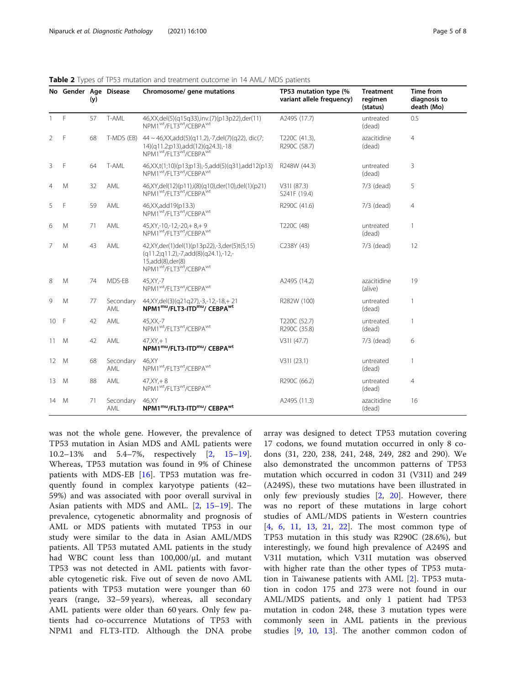|                | No Gender Age Disease | (y) |                  | Chromosome/ gene mutations                                                                                                                                                           | TP53 mutation type (%<br>variant allele frequency) | <b>Treatment</b><br>regimen<br>(status) | <b>Time from</b><br>diagnosis to<br>death (Mo) |  |
|----------------|-----------------------|-----|------------------|--------------------------------------------------------------------------------------------------------------------------------------------------------------------------------------|----------------------------------------------------|-----------------------------------------|------------------------------------------------|--|
| $\overline{1}$ | F                     | 57  | T-AML            | 46, XX, del(5)(q15q33), inv. (7)(p13p22), der(11)<br>NPM1 <sup>wt</sup> /FLT3 <sup>wt</sup> /CEBPA <sup>wt</sup>                                                                     | A249S (17.7)                                       | untreated<br>(dead)                     | 0.5                                            |  |
| 2              | F                     | 68  | T-MDS (EB)       | $44 \sim 46$ , XX, add $(5)(q11.2)$ , -7, del $(7)(q22)$ , dic $(7)$ ;<br>14)(q11.2;p13),add(12)(q24.3),-18<br>NPM1 <sup>wt</sup> /FLT3 <sup>wt</sup> /CEBPA <sup>wt</sup>           | T220C (41.3),<br>R290C (58.7)                      | azacitidine<br>(dead)                   | $\overline{4}$                                 |  |
| 3              | F                     | 64  | T-AML            | 46, XX, t(1;10)(p13; p13), -5, add(5)(q31), add 12(p13)<br>NPM1 <sup>wt</sup> /FLT3 <sup>wt</sup> /CEBPA <sup>wt</sup>                                                               | R248W (44.3)                                       | untreated<br>(dead)                     | 3                                              |  |
| $\overline{4}$ | M                     | 32  | AML              | 46, XY, del(12)(p11), i(8)(q10), der(10), del(1)(p21)<br>NPM1 <sup>wt</sup> /FLT3 <sup>wt</sup> /CEBPA <sup>wt</sup>                                                                 | V311(87.3)<br>S241F (19.4)                         | $7/3$ (dead)                            | 5                                              |  |
| 5              | F                     | 59  | AML              | 46, XX, add 19(p13.3)<br>NPM1 <sup>wt</sup> /FLT3 <sup>wt</sup> /CEBPA <sup>wt</sup>                                                                                                 | R290C (41.6)                                       | $7/3$ (dead)                            | $\overline{4}$                                 |  |
| 6              | M                     | 71  | AML              | $45, XY, -10, -12, -20, +8, +9$<br>NPM1 <sup>wt</sup> /FLT3 <sup>wt</sup> /CEBPA <sup>wt</sup>                                                                                       | T220C (48)                                         | untreated<br>(dead)                     | $\mathbf{1}$                                   |  |
| 7              | M                     | 43  | AML              | 42, XY, der(1) del(1) (p13p22), -3, der(5) t(5; 15)<br>$(q11.2q11.2)$ ,-7,add $(8)(q24.1)$ ,-12,-<br>15,add(8),der(8)<br>NPM1 <sup>wt</sup> /FLT3 <sup>wt</sup> /CEBPA <sup>wt</sup> | C238Y (43)                                         | 7/3 (dead)                              | 12                                             |  |
| 8              | M                     | 74  | MDS-EB           | 45, XY, -7<br>NPM1 <sup>wt</sup> /FLT3 <sup>wt</sup> /CEBPA <sup>wt</sup>                                                                                                            | A249S (14.2)                                       | azacitidine<br>(alive)                  | 19                                             |  |
| 9              | M                     | 77  | Secondary<br>AML | 44, XY, del (3) (q21q27), -3, -12, -18, +21<br>NPM1mu/FLT3-ITDmu/ CEBPAwt                                                                                                            | R282W (100)                                        | untreated<br>(dead)                     | 1                                              |  |
| 10 F           |                       | 42  | AML              | 45.XX.-7<br>NPM1 <sup>wt</sup> /FLT3 <sup>wt</sup> /CEBPA <sup>wt</sup>                                                                                                              | T220C (52.7)<br>R290C (35.8)                       | untreated<br>(dead)                     | 1                                              |  |
| 11             | M                     | 42  | AML              | $47.XY + 1$<br>NPM1mu/FLT3-ITDmu/ CEBPA <sup>wt</sup>                                                                                                                                | V311(47.7)                                         | $7/3$ (dead)                            | 6                                              |  |
| 12             | M                     | 68  | Secondary<br>AMI | 46.XY<br>NPM1 <sup>wt</sup> /FLT3 <sup>wt</sup> /CEBPA <sup>wt</sup>                                                                                                                 | V311(23.1)                                         | untreated<br>(dead)                     | $\mathbf{1}$                                   |  |
| 13             | M                     | 88  | AML              | $47.XY + 8$<br>NPM1 <sup>wt</sup> /FLT3 <sup>wt</sup> /CEBPA <sup>wt</sup>                                                                                                           | R290C (66.2)                                       | untreated<br>(dead)                     | $\overline{4}$                                 |  |
| 14 M           |                       | 71  | Secondary<br>AML | 46.XY<br>NPM1mu/FLT3-ITDmu/ CEBPA <sup>wt</sup>                                                                                                                                      | A249S (11.3)                                       | azacitidine<br>(dead)                   | 16                                             |  |

<span id="page-4-0"></span>Table 2 Types of TP53 mutation and treatment outcome in 14 AML/ MDS patients

was not the whole gene. However, the prevalence of TP53 mutation in Asian MDS and AML patients were 10.2–13% and 5.4–7%, respectively [[2,](#page-7-0) [15](#page-7-0)–[19](#page-7-0)]. Whereas, TP53 mutation was found in 9% of Chinese patients with MDS-EB [[16\]](#page-7-0). TP53 mutation was frequently found in complex karyotype patients (42– 59%) and was associated with poor overall survival in Asian patients with MDS and AML. [\[2](#page-7-0), [15](#page-7-0)–[19\]](#page-7-0). The prevalence, cytogenetic abnormality and prognosis of AML or MDS patients with mutated TP53 in our study were similar to the data in Asian AML/MDS patients. All TP53 mutated AML patients in the study had WBC count less than 100,000/μL and mutant TP53 was not detected in AML patients with favorable cytogenetic risk. Five out of seven de novo AML patients with TP53 mutation were younger than 60 years (range, 32–59 years), whereas, all secondary AML patients were older than 60 years. Only few patients had co-occurrence Mutations of TP53 with NPM1 and FLT3-ITD. Although the DNA probe array was designed to detect TP53 mutation covering 17 codons, we found mutation occurred in only 8 codons (31, 220, 238, 241, 248, 249, 282 and 290). We also demonstrated the uncommon patterns of TP53 mutation which occurred in codon 31 (V31I) and 249 (A249S), these two mutations have been illustrated in only few previously studies [\[2](#page-7-0), [20\]](#page-7-0). However, there was no report of these mutations in large cohort studies of AML/MDS patients in Western countries [[4,](#page-7-0) [6,](#page-7-0) [11](#page-7-0), [13,](#page-7-0) [21,](#page-7-0) [22](#page-7-0)]. The most common type of TP53 mutation in this study was R290C (28.6%), but interestingly, we found high prevalence of A249S and V31I mutation, which V31I mutation was observed with higher rate than the other types of TP53 mutation in Taiwanese patients with AML [[2\]](#page-7-0). TP53 mutation in codon 175 and 273 were not found in our AML/MDS patients, and only 1 patient had TP53 mutation in codon 248, these 3 mutation types were commonly seen in AML patients in the previous studies [[9,](#page-7-0) [10,](#page-7-0) [13](#page-7-0)]. The another common codon of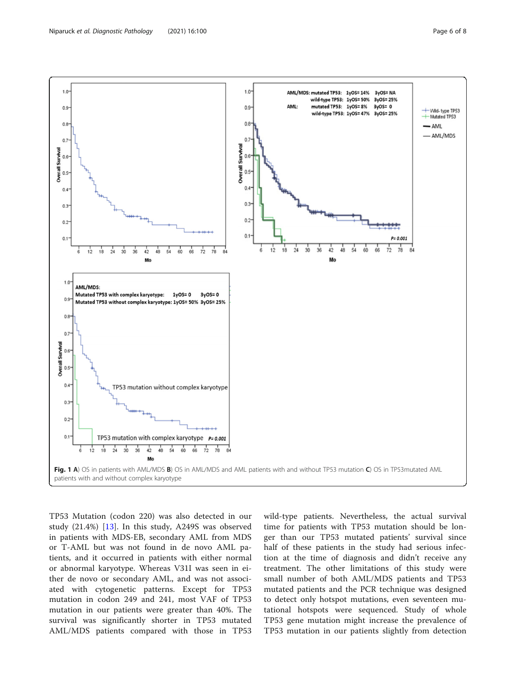<span id="page-5-0"></span>

TP53 Mutation (codon 220) was also detected in our study (21.4%) [[13\]](#page-7-0). In this study, A249S was observed in patients with MDS-EB, secondary AML from MDS or T-AML but was not found in de novo AML patients, and it occurred in patients with either normal or abnormal karyotype. Whereas V31I was seen in either de novo or secondary AML, and was not associated with cytogenetic patterns. Except for TP53 mutation in codon 249 and 241, most VAF of TP53 mutation in our patients were greater than 40%. The survival was significantly shorter in TP53 mutated AML/MDS patients compared with those in TP53 wild-type patients. Nevertheless, the actual survival time for patients with TP53 mutation should be longer than our TP53 mutated patients' survival since half of these patients in the study had serious infection at the time of diagnosis and didn't receive any treatment. The other limitations of this study were small number of both AML/MDS patients and TP53 mutated patients and the PCR technique was designed to detect only hotspot mutations, even seventeen mutational hotspots were sequenced. Study of whole TP53 gene mutation might increase the prevalence of TP53 mutation in our patients slightly from detection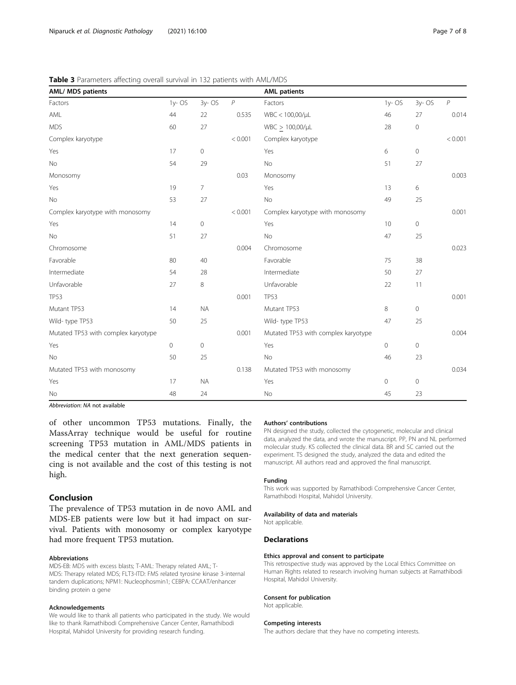<span id="page-6-0"></span>

| <b>Table 3</b> Parameters affecting overall survival in 132 patients with AML/MDS |  |  |
|-----------------------------------------------------------------------------------|--|--|
|-----------------------------------------------------------------------------------|--|--|

| <b>AML/ MDS patients</b>            |           |                     |         | <b>AML patients</b>                 |                |                     |                |
|-------------------------------------|-----------|---------------------|---------|-------------------------------------|----------------|---------------------|----------------|
| Factors                             | $1v - OS$ | 3y-OS               | P       | Factors                             | $1y - OS$      | 3y-OS               | $\overline{P}$ |
| AML                                 | 44        | 22                  | 0.535   | WBC < 100,00/µL                     | 46             | 27                  | 0.014          |
| <b>MDS</b>                          | 60        | 27                  |         | $WBC > 100,00/\mu L$                | 28             | $\mathbf 0$         |                |
| Complex karyotype                   |           |                     | < 0.001 | Complex karyotype                   |                |                     | < 0.001        |
| Yes                                 | 17        | $\mathbf 0$         |         | Yes                                 | 6              | $\mathbf 0$         |                |
| No                                  | 54        | 29                  |         | No                                  | 51             | 27                  |                |
| Monosomy                            |           |                     | 0.03    | Monosomy                            |                |                     | 0.003          |
| Yes                                 | 19        | $\overline{7}$      |         | Yes                                 | 13             | 6                   |                |
| No                                  | 53        | 27                  |         | No                                  | 49             | 25                  |                |
| Complex karyotype with monosomy     |           |                     | < 0.001 | Complex karyotype with monosomy     |                |                     | 0.001          |
| Yes                                 | 14        | $\mathsf{O}\xspace$ |         | Yes                                 | 10             | $\mathsf{O}\xspace$ |                |
| No                                  | 51        | 27                  |         | No                                  | 47             | 25                  |                |
| Chromosome                          |           |                     | 0.004   | Chromosome                          |                |                     | 0.023          |
| Favorable                           | 80        | 40                  |         | Favorable                           | 75             | 38                  |                |
| Intermediate                        | 54        | 28                  |         | Intermediate                        | 50             | 27                  |                |
| Unfavorable                         | 27        | 8                   |         | Unfavorable                         | 22             | 11                  |                |
| <b>TP53</b>                         |           |                     | 0.001   | <b>TP53</b>                         |                |                     | 0.001          |
| Mutant TP53                         | 14        | <b>NA</b>           |         | Mutant TP53                         | $\,8\,$        | $\mathsf{O}\xspace$ |                |
| Wild-type TP53                      | 50        | 25                  |         | Wild-type TP53                      | 47             | 25                  |                |
| Mutated TP53 with complex karyotype |           |                     | 0.001   | Mutated TP53 with complex karyotype |                |                     | 0.004          |
| Yes                                 | 0         | $\circ$             |         | Yes                                 | $\circ$        | $\mathbf 0$         |                |
| <b>No</b>                           | 50        | 25                  |         | <b>No</b>                           | 46             | 23                  |                |
| Mutated TP53 with monosomy          |           |                     | 0.138   | Mutated TP53 with monosomy          |                |                     | 0.034          |
| Yes                                 | 17        | <b>NA</b>           |         | Yes                                 | $\circledcirc$ | $\mathbf 0$         |                |
| No                                  | 48        | 24                  |         | No                                  | 45             | 23                  |                |

Abbreviation: NA not available

of other uncommon TP53 mutations. Finally, the MassArray technique would be useful for routine screening TP53 mutation in AML/MDS patients in the medical center that the next generation sequencing is not available and the cost of this testing is not high.

#### Conclusion

The prevalence of TP53 mutation in de novo AML and MDS-EB patients were low but it had impact on survival. Patients with monosomy or complex karyotype had more frequent TP53 mutation.

#### Abbreviations

MDS-EB: MDS with excess blasts; T-AML: Therapy related AML; T-MDS: Therapy related MDS; FLT3-ITD: FMS related tyrosine kinase 3-internal tandem duplications; NPM1: Nucleophosmin1; CEBPA: CCAAT/enhancer binding protein α gene

#### Acknowledgements

We would like to thank all patients who participated in the study. We would like to thank Ramathibodi Comprehensive Cancer Center, Ramathibodi Hospital, Mahidol University for providing research funding.

#### Authors' contributions

PN designed the study, collected the cytogenetic, molecular and clinical data, analyzed the data, and wrote the manuscript. PP, PN and NL performed molecular study. KS collected the clinical data. BR and SC carried out the experiment. TS designed the study, analyzed the data and edited the manuscript. All authors read and approved the final manuscript.

#### Funding

This work was supported by Ramathibodi Comprehensive Cancer Center, Ramathibodi Hospital, Mahidol University.

#### Availability of data and materials

Not applicable.

#### **Declarations**

#### Ethics approval and consent to participate

This retrospective study was approved by the Local Ethics Committee on Human Rights related to research involving human subjects at Ramathibodi Hospital, Mahidol University.

#### Consent for publication

Not applicable.

#### Competing interests

The authors declare that they have no competing interests.